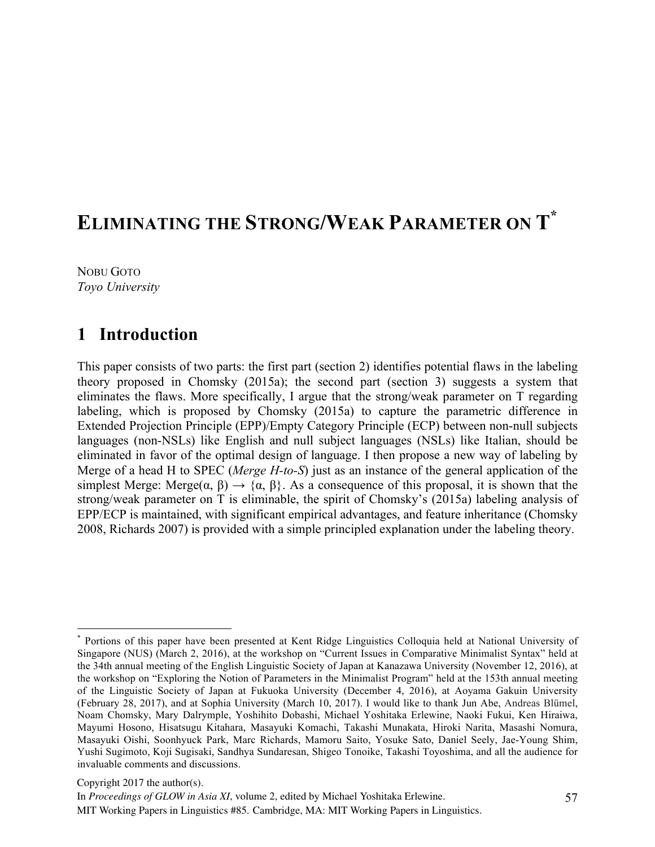# **ELIMINATING THE STRONG/WEAK PARAMETER ON T\***

NOBU GOTO *Toyo University*

## **1** Introduction

This paper consists of two parts: the first part (section 2) identifies potential flaws in the labeling theory proposed in Chomsky (2015a); the second part (section 3) suggests a system that eliminates the flaws. More specifically, I argue that the strong/weak parameter on T regarding labeling, which is proposed by Chomsky (2015a) to capture the parametric difference in Extended Projection Principle (EPP)/Empty Category Principle (ECP) between non-null subjects languages (non-NSLs) like English and null subject languages (NSLs) like Italian, should be eliminated in favor of the optimal design of language. I then propose a new way of labeling by Merge of a head H to SPEC (*Merge H-to-S*) just as an instance of the general application of the simplest Merge: Merge $(\alpha, \beta) \rightarrow {\alpha, \beta}$ . As a consequence of this proposal, it is shown that the strong/weak parameter on T is eliminable, the spirit of Chomsky's (2015a) labeling analysis of EPP/ECP is maintained, with significant empirical advantages, and feature inheritance (Chomsky 2008, Richards 2007) is provided with a simple principled explanation under the labeling theory.

Copyright 2017 the author(s).

 <sup>\*</sup> Portions of this paper have been presented at Kent Ridge Linguistics Colloquia held at National University of Singapore (NUS) (March 2, 2016), at the workshop on "Current Issues in Comparative Minimalist Syntax" held at the 34th annual meeting of the English Linguistic Society of Japan at Kanazawa University (November 12, 2016), at the workshop on "Exploring the Notion of Parameters in the Minimalist Program" held at the 153th annual meeting of the Linguistic Society of Japan at Fukuoka University (December 4, 2016), at Aoyama Gakuin University (February 28, 2017), and at Sophia University (March 10, 2017). I would like to thank Jun Abe, Andreas Blümel, Noam Chomsky, Mary Dalrymple, Yoshihito Dobashi, Michael Yoshitaka Erlewine, Naoki Fukui, Ken Hiraiwa, Mayumi Hosono, Hisatsugu Kitahara, Masayuki Komachi, Takashi Munakata, Hiroki Narita, Masashi Nomura, Masayuki Oishi, Soonhyuck Park, Marc Richards, Mamoru Saito, Yosuke Sato, Daniel Seely, Jae-Young Shim, Yushi Sugimoto, Koji Sugisaki, Sandhya Sundaresan, Shigeo Tonoike, Takashi Toyoshima, and all the audience for invaluable comments and discussions.

In *Proceedings of GLOW in Asia XI*, volume 2, edited by Michael Yoshitaka Erlewine. MIT Working Papers in Linguistics #85. Cambridge, MA: MIT Working Papers in Linguistics.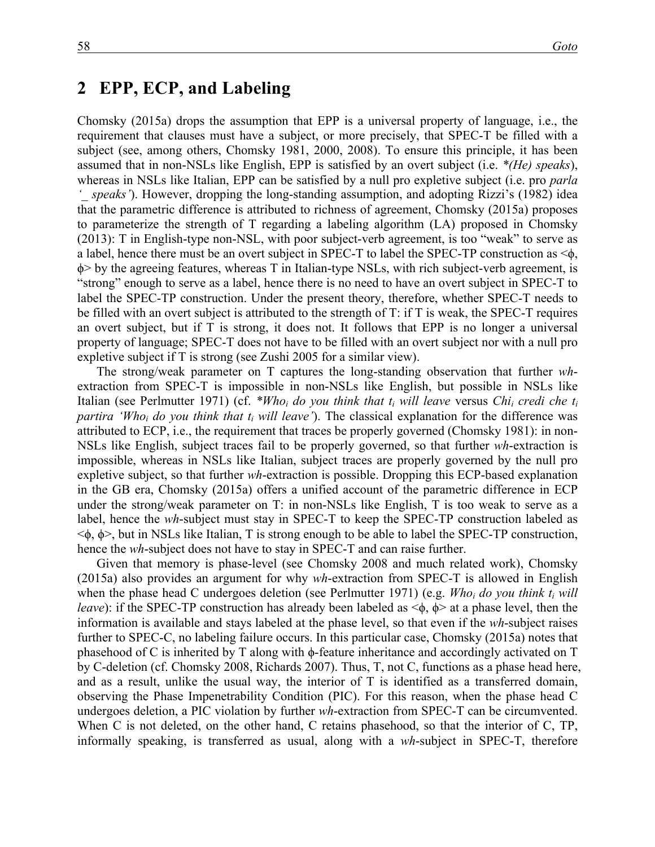#### **2**xx**EPP, ECP, and Labeling**

Chomsky (2015a) drops the assumption that EPP is a universal property of language, i.e., the requirement that clauses must have a subject, or more precisely, that SPEC-T be filled with a subject (see, among others, Chomsky 1981, 2000, 2008). To ensure this principle, it has been assumed that in non-NSLs like English, EPP is satisfied by an overt subject (i.e. *\*(He) speaks*), whereas in NSLs like Italian, EPP can be satisfied by a null pro expletive subject (i.e. pro *parla*  speaks'). However, dropping the long-standing assumption, and adopting Rizzi's (1982) idea that the parametric difference is attributed to richness of agreement, Chomsky (2015a) proposes to parameterize the strength of T regarding a labeling algorithm (LA) proposed in Chomsky (2013): T in English-type non-NSL, with poor subject-verb agreement, is too "weak" to serve as a label, hence there must be an overt subject in SPEC-T to label the SPEC-TP construction as <ϕ, ϕ> by the agreeing features, whereas T in Italian-type NSLs, with rich subject-verb agreement, is "strong" enough to serve as a label, hence there is no need to have an overt subject in SPEC-T to label the SPEC-TP construction. Under the present theory, therefore, whether SPEC-T needs to be filled with an overt subject is attributed to the strength of T: if T is weak, the SPEC-T requires an overt subject, but if T is strong, it does not. It follows that EPP is no longer a universal property of language; SPEC-T does not have to be filled with an overt subject nor with a null pro expletive subject if T is strong (see Zushi 2005 for a similar view).

The strong/weak parameter on T captures the long-standing observation that further *wh*extraction from SPEC-T is impossible in non-NSLs like English, but possible in NSLs like Italian (see Perlmutter 1971) (cf. *\*Whoi do you think that ti will leave* versus *Chii credi che ti partira 'Who<sub>i</sub> do you think that*  $t_i$  *will leave'*). The classical explanation for the difference was attributed to ECP, i.e., the requirement that traces be properly governed (Chomsky 1981): in non-NSLs like English, subject traces fail to be properly governed, so that further *wh*-extraction is impossible, whereas in NSLs like Italian, subject traces are properly governed by the null pro expletive subject, so that further *wh*-extraction is possible. Dropping this ECP-based explanation in the GB era, Chomsky (2015a) offers a unified account of the parametric difference in ECP under the strong/weak parameter on T: in non-NSLs like English, T is too weak to serve as a label, hence the *wh*-subject must stay in SPEC-T to keep the SPEC-TP construction labeled as  $\leq$  $\phi$ ,  $\phi$  $>$ , but in NSLs like Italian, T is strong enough to be able to label the SPEC-TP construction, hence the *wh*-subject does not have to stay in SPEC-T and can raise further.

Given that memory is phase-level (see Chomsky 2008 and much related work), Chomsky (2015a) also provides an argument for why *wh*-extraction from SPEC-T is allowed in English when the phase head C undergoes deletion (see Perlmutter 1971) (e.g. *Who<sub>i</sub> do you think*  $t_i$  *will leave*): if the SPEC-TP construction has already been labeled as  $\leq$ φ, φ $>$  at a phase level, then the information is available and stays labeled at the phase level, so that even if the *wh*-subject raises further to SPEC-C, no labeling failure occurs. In this particular case, Chomsky (2015a) notes that phasehood of C is inherited by T along with ϕ-feature inheritance and accordingly activated on T by C-deletion (cf. Chomsky 2008, Richards 2007). Thus, T, not C, functions as a phase head here, and as a result, unlike the usual way, the interior of T is identified as a transferred domain, observing the Phase Impenetrability Condition (PIC). For this reason, when the phase head C undergoes deletion, a PIC violation by further *wh*-extraction from SPEC-T can be circumvented. When C is not deleted, on the other hand, C retains phasehood, so that the interior of C, TP, informally speaking, is transferred as usual, along with a *wh*-subject in SPEC-T, therefore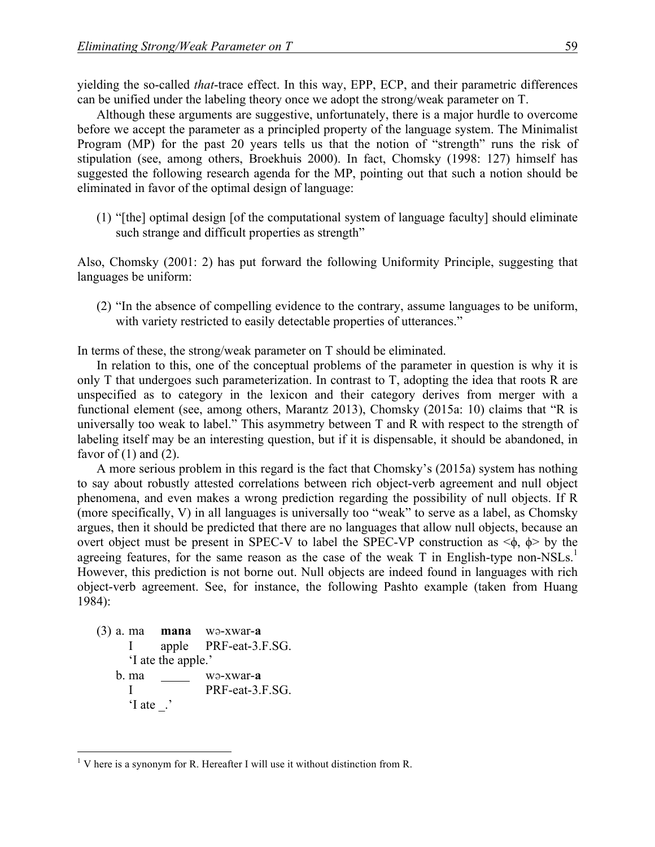yielding the so-called *that*-trace effect. In this way, EPP, ECP, and their parametric differences can be unified under the labeling theory once we adopt the strong/weak parameter on T.

Although these arguments are suggestive, unfortunately, there is a major hurdle to overcome before we accept the parameter as a principled property of the language system. The Minimalist Program (MP) for the past 20 years tells us that the notion of "strength" runs the risk of stipulation (see, among others, Broekhuis 2000). In fact, Chomsky (1998: 127) himself has suggested the following research agenda for the MP, pointing out that such a notion should be eliminated in favor of the optimal design of language:

(1) "[the] optimal design [of the computational system of language faculty] should eliminate such strange and difficult properties as strength"

Also, Chomsky (2001: 2) has put forward the following Uniformity Principle, suggesting that languages be uniform:

(2) "In the absence of compelling evidence to the contrary, assume languages to be uniform, with variety restricted to easily detectable properties of utterances."

In terms of these, the strong/weak parameter on T should be eliminated.

In relation to this, one of the conceptual problems of the parameter in question is why it is only T that undergoes such parameterization. In contrast to T, adopting the idea that roots R are unspecified as to category in the lexicon and their category derives from merger with a functional element (see, among others, Marantz 2013), Chomsky (2015a: 10) claims that "R is universally too weak to label." This asymmetry between T and R with respect to the strength of labeling itself may be an interesting question, but if it is dispensable, it should be abandoned, in favor of  $(1)$  and  $(2)$ .

A more serious problem in this regard is the fact that Chomsky's (2015a) system has nothing to say about robustly attested correlations between rich object-verb agreement and null object phenomena, and even makes a wrong prediction regarding the possibility of null objects. If R (more specifically, V) in all languages is universally too "weak" to serve as a label, as Chomsky argues, then it should be predicted that there are no languages that allow null objects, because an overt object must be present in SPEC-V to label the SPEC-VP construction as  $\leq \phi$ ,  $\phi$  by the agreeing features, for the same reason as the case of the weak T in English-type non-NSLs.<sup>1</sup> However, this prediction is not borne out. Null objects are indeed found in languages with rich object-verb agreement. See, for instance, the following Pashto example (taken from Huang 1984):

(3) a. ma **mana** wə-xwar-**a** I apple PRF-eat-3.F.SG. 'I ate the apple.' b. ma wə-xwar-**a** I PRF-eat-3.F.SG. 'I ate \_.'

 $<sup>1</sup>$  V here is a synonym for R. Hereafter I will use it without distinction from R.</sup>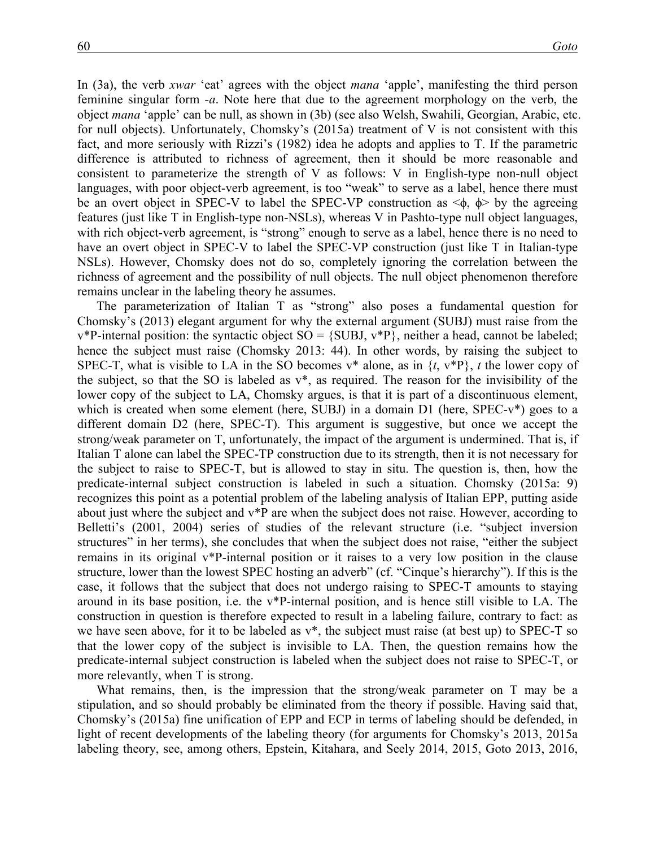In (3a), the verb *xwar* 'eat' agrees with the object *mana* 'apple', manifesting the third person feminine singular form *-a*. Note here that due to the agreement morphology on the verb, the object *mana* 'apple' can be null, as shown in (3b) (see also Welsh, Swahili, Georgian, Arabic, etc. for null objects). Unfortunately, Chomsky's (2015a) treatment of V is not consistent with this fact, and more seriously with Rizzi's (1982) idea he adopts and applies to T. If the parametric difference is attributed to richness of agreement, then it should be more reasonable and consistent to parameterize the strength of V as follows: V in English-type non-null object languages, with poor object-verb agreement, is too "weak" to serve as a label, hence there must be an overt object in SPEC-V to label the SPEC-VP construction as  $\leq \phi$ ,  $\phi$  by the agreeing features (just like T in English-type non-NSLs), whereas V in Pashto-type null object languages, with rich object-verb agreement, is "strong" enough to serve as a label, hence there is no need to have an overt object in SPEC-V to label the SPEC-VP construction (just like T in Italian-type NSLs). However, Chomsky does not do so, completely ignoring the correlation between the richness of agreement and the possibility of null objects. The null object phenomenon therefore remains unclear in the labeling theory he assumes.

The parameterization of Italian T as "strong" also poses a fundamental question for Chomsky's (2013) elegant argument for why the external argument (SUBJ) must raise from the  $v^*$ P-internal position: the syntactic object SO = {SUBJ,  $v^*$ P}, neither a head, cannot be labeled; hence the subject must raise (Chomsky 2013: 44). In other words, by raising the subject to SPEC-T, what is visible to LA in the SO becomes  $v^*$  alone, as in  $\{t, v^*P\}$ , *t* the lower copy of the subject, so that the SO is labeled as v\*, as required. The reason for the invisibility of the lower copy of the subject to LA, Chomsky argues, is that it is part of a discontinuous element, which is created when some element (here, SUBJ) in a domain D1 (here, SPEC-v<sup>\*</sup>) goes to a different domain D2 (here, SPEC-T). This argument is suggestive, but once we accept the strong/weak parameter on T, unfortunately, the impact of the argument is undermined. That is, if Italian T alone can label the SPEC-TP construction due to its strength, then it is not necessary for the subject to raise to SPEC-T, but is allowed to stay in situ. The question is, then, how the predicate-internal subject construction is labeled in such a situation. Chomsky (2015a: 9) recognizes this point as a potential problem of the labeling analysis of Italian EPP, putting aside about just where the subject and v\*P are when the subject does not raise. However, according to Belletti's (2001, 2004) series of studies of the relevant structure (i.e. "subject inversion structures" in her terms), she concludes that when the subject does not raise, "either the subject remains in its original v\*P-internal position or it raises to a very low position in the clause structure, lower than the lowest SPEC hosting an adverb" (cf. "Cinque's hierarchy"). If this is the case, it follows that the subject that does not undergo raising to SPEC-T amounts to staying around in its base position, i.e. the v\*P-internal position, and is hence still visible to LA. The construction in question is therefore expected to result in a labeling failure, contrary to fact: as we have seen above, for it to be labeled as v\*, the subject must raise (at best up) to SPEC-T so that the lower copy of the subject is invisible to LA. Then, the question remains how the predicate-internal subject construction is labeled when the subject does not raise to SPEC-T, or more relevantly, when T is strong.

What remains, then, is the impression that the strong/weak parameter on T may be a stipulation, and so should probably be eliminated from the theory if possible. Having said that, Chomsky's (2015a) fine unification of EPP and ECP in terms of labeling should be defended, in light of recent developments of the labeling theory (for arguments for Chomsky's 2013, 2015a labeling theory, see, among others, Epstein, Kitahara, and Seely 2014, 2015, Goto 2013, 2016,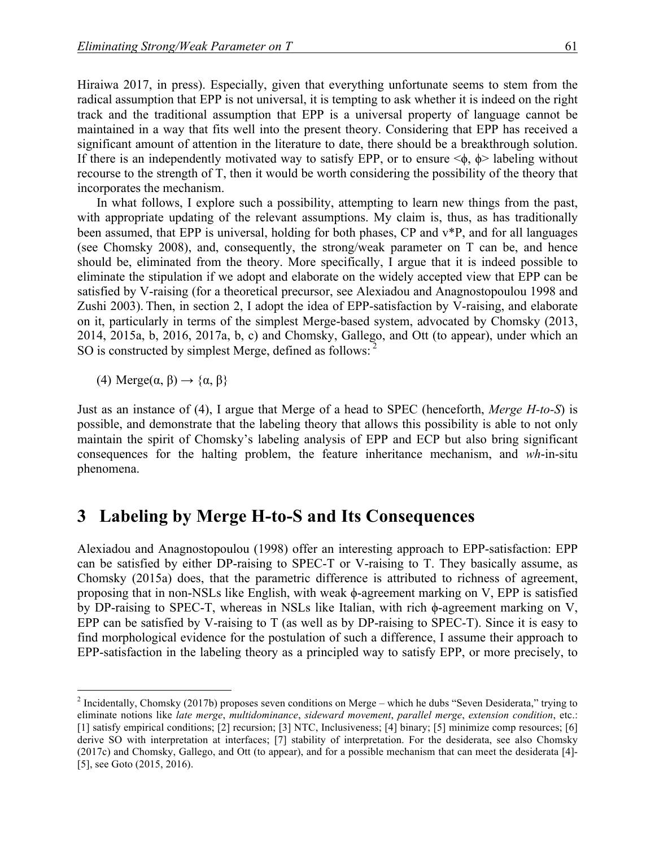Hiraiwa 2017, in press). Especially, given that everything unfortunate seems to stem from the radical assumption that EPP is not universal, it is tempting to ask whether it is indeed on the right track and the traditional assumption that EPP is a universal property of language cannot be maintained in a way that fits well into the present theory. Considering that EPP has received a significant amount of attention in the literature to date, there should be a breakthrough solution. If there is an independently motivated way to satisfy EPP, or to ensure  $\langle \phi, \phi \rangle$  labeling without recourse to the strength of T, then it would be worth considering the possibility of the theory that incorporates the mechanism.

In what follows, I explore such a possibility, attempting to learn new things from the past, with appropriate updating of the relevant assumptions. My claim is, thus, as has traditionally been assumed, that EPP is universal, holding for both phases, CP and v\*P, and for all languages (see Chomsky 2008), and, consequently, the strong/weak parameter on T can be, and hence should be, eliminated from the theory. More specifically, I argue that it is indeed possible to eliminate the stipulation if we adopt and elaborate on the widely accepted view that EPP can be satisfied by V-raising (for a theoretical precursor, see Alexiadou and Anagnostopoulou 1998 and Zushi 2003). Then, in section 2, I adopt the idea of EPP-satisfaction by V-raising, and elaborate on it, particularly in terms of the simplest Merge-based system, advocated by Chomsky (2013, 2014, 2015a, b, 2016, 2017a, b, c) and Chomsky, Gallego, and Ott (to appear), under which an SO is constructed by simplest Merge, defined as follows: <sup>2</sup>

(4) Merge $(\alpha, \beta) \rightarrow {\alpha, \beta}$ 

Just as an instance of (4), I argue that Merge of a head to SPEC (henceforth, *Merge H-to-S*) is possible, and demonstrate that the labeling theory that allows this possibility is able to not only maintain the spirit of Chomsky's labeling analysis of EPP and ECP but also bring significant consequences for the halting problem, the feature inheritance mechanism, and *wh*-in-situ phenomena.

#### **3**xx**Labeling by Merge H-to-S and Its Consequences**

Alexiadou and Anagnostopoulou (1998) offer an interesting approach to EPP-satisfaction: EPP can be satisfied by either DP-raising to SPEC-T or V-raising to T. They basically assume, as Chomsky (2015a) does, that the parametric difference is attributed to richness of agreement, proposing that in non-NSLs like English, with weak ϕ-agreement marking on V, EPP is satisfied by DP-raising to SPEC-T, whereas in NSLs like Italian, with rich ϕ-agreement marking on V, EPP can be satisfied by V-raising to T (as well as by DP-raising to SPEC-T). Since it is easy to find morphological evidence for the postulation of such a difference, I assume their approach to EPP-satisfaction in the labeling theory as a principled way to satisfy EPP, or more precisely, to

 $2$  Incidentally, Chomsky (2017b) proposes seven conditions on Merge – which he dubs "Seven Desiderata," trying to eliminate notions like *late merge*, *multidominance*, *sideward movement*, *parallel merge*, *extension condition*, etc.: [1] satisfy empirical conditions; [2] recursion; [3] NTC, Inclusiveness; [4] binary; [5] minimize comp resources; [6] derive SO with interpretation at interfaces; [7] stability of interpretation. For the desiderata, see also Chomsky (2017c) and Chomsky, Gallego, and Ott (to appear), and for a possible mechanism that can meet the desiderata [4]- [5], see Goto (2015, 2016).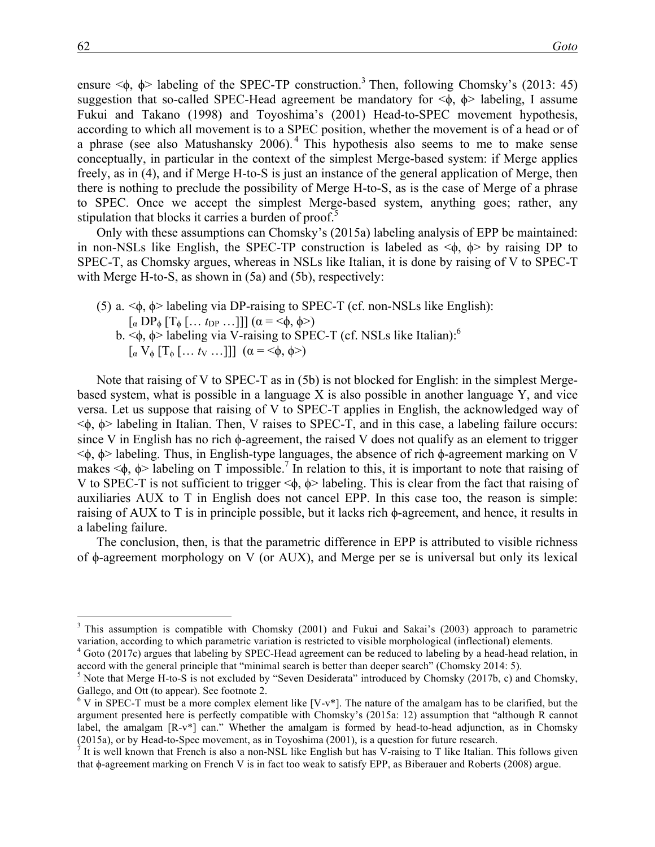ensure  $\leq \phi$ ,  $\phi$  labeling of the SPEC-TP construction.<sup>3</sup> Then, following Chomsky's (2013: 45) suggestion that so-called SPEC-Head agreement be mandatory for  $\leq \phi$ ,  $\phi$  labeling, I assume Fukui and Takano (1998) and Toyoshima's (2001) Head-to-SPEC movement hypothesis, according to which all movement is to a SPEC position, whether the movement is of a head or of a phrase (see also Matushansky 2006). <sup>4</sup> This hypothesis also seems to me to make sense conceptually, in particular in the context of the simplest Merge-based system: if Merge applies freely, as in (4), and if Merge H-to-S is just an instance of the general application of Merge, then there is nothing to preclude the possibility of Merge H-to-S, as is the case of Merge of a phrase to SPEC. Once we accept the simplest Merge-based system, anything goes; rather, any stipulation that blocks it carries a burden of proof.<sup>5</sup>

Only with these assumptions can Chomsky's (2015a) labeling analysis of EPP be maintained: in non-NSLs like English, the SPEC-TP construction is labeled as  $\langle \phi, \phi \rangle$  by raising DP to SPEC-T, as Chomsky argues, whereas in NSLs like Italian, it is done by raising of V to SPEC-T with Merge H-to-S, as shown in  $(5a)$  and  $(5b)$ , respectively:

- (5) a. <ϕ, ϕ> labeling via DP-raising to SPEC-T (cf. non-NSLs like English):  $\lceil \alpha \operatorname{DP}_{\phi} \lceil T_{\phi} \lceil \dots t_{\text{DP}} \dots \rceil \rceil \mid (\alpha = \langle \phi, \phi \rangle)$ 
	- b.  $\leq$  $\phi$ ,  $\phi$  labeling via V-raising to SPEC-T (cf. NSLs like Italian):  $\lceil \alpha \, V_{\phi} \, | \, T_{\phi} \, | \, \ldots \, t_{V} \, \ldots ] \, \rceil \, (\alpha = \leq \phi, \, \phi \geq \, \varepsilon)$

Note that raising of V to SPEC-T as in (5b) is not blocked for English: in the simplest Mergebased system, what is possible in a language X is also possible in another language Y, and vice versa. Let us suppose that raising of V to SPEC-T applies in English, the acknowledged way of <ϕ, ϕ> labeling in Italian. Then, V raises to SPEC-T, and in this case, a labeling failure occurs: since V in English has no rich  $\phi$ -agreement, the raised V does not qualify as an element to trigger <ϕ, ϕ> labeling. Thus, in English-type languages, the absence of rich ϕ-agreement marking on V makes  $\leq \phi$ ,  $\phi$  labeling on T impossible.<sup>7</sup> In relation to this, it is important to note that raising of V to SPEC-T is not sufficient to trigger  $\langle \phi, \phi \rangle$  labeling. This is clear from the fact that raising of auxiliaries AUX to T in English does not cancel EPP. In this case too, the reason is simple: raising of AUX to T is in principle possible, but it lacks rich  $φ$ -agreement, and hence, it results in a labeling failure.

The conclusion, then, is that the parametric difference in EPP is attributed to visible richness of ϕ-agreement morphology on V (or AUX), and Merge per se is universal but only its lexical

<sup>&</sup>lt;sup>3</sup> This assumption is compatible with Chomsky (2001) and Fukui and Sakai's (2003) approach to parametric variation, according to which parametric variation is restricted to visible morphological (inflectional) elements.<br><sup>4</sup> Goto (2017c) argues that labeling by SPEC-Head agreement can be reduced to labeling by a head-head rela

accord with the general principle that "minimal search is better than deeper search" (Chomsky 2014: 5).<br><sup>5</sup> Note that Merge H-to-S is not excluded by "Seven Desiderata" introduced by Chomsky (2017b, c) and Chomsky,

Gallego, and Ott (to appear). See footnote 2.<br><sup>6</sup> V in SPEC-T must be a more complex element like [V-v<sup>\*</sup>]. The nature of the amalgam has to be clarified, but the

argument presented here is perfectly compatible with Chomsky's (2015a: 12) assumption that "although R cannot label, the amalgam [R-v\*] can." Whether the amalgam is formed by head-to-head adjunction, as in Chomsky (2015a), or by Head-to-Spec movement, as in Toyoshima (2001), is a question for future research.<br><sup>7</sup> It is well known that French is also a non-NSL like English but has V-raising to T like Italian. This follows given

that ϕ-agreement marking on French V is in fact too weak to satisfy EPP, as Biberauer and Roberts (2008) argue.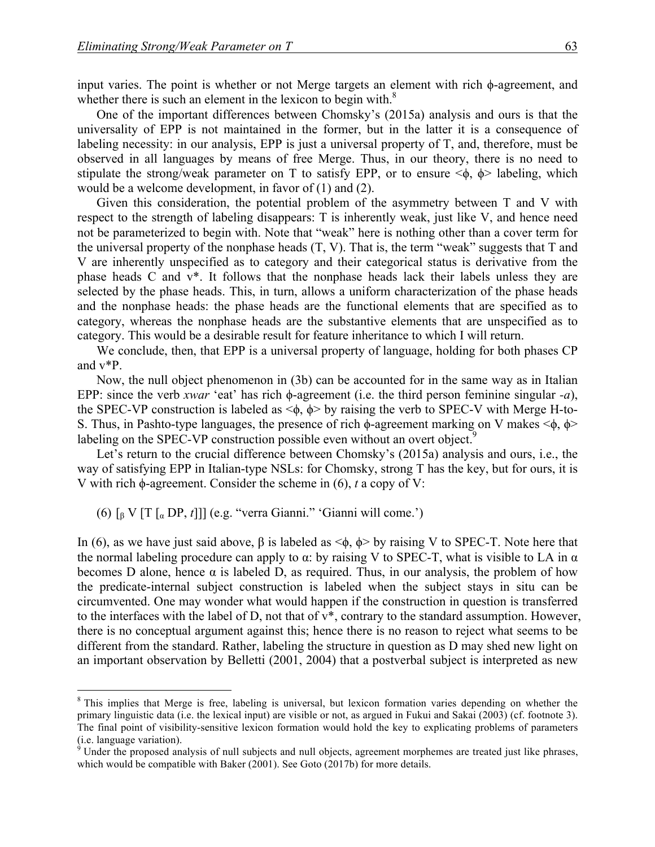input varies. The point is whether or not Merge targets an element with rich ϕ-agreement, and whether there is such an element in the lexicon to begin with. $8$ 

One of the important differences between Chomsky's (2015a) analysis and ours is that the universality of EPP is not maintained in the former, but in the latter it is a consequence of labeling necessity: in our analysis, EPP is just a universal property of T, and, therefore, must be observed in all languages by means of free Merge. Thus, in our theory, there is no need to stipulate the strong/weak parameter on T to satisfy EPP, or to ensure  $\langle \phi, \phi \rangle$  labeling, which would be a welcome development, in favor of (1) and (2).

Given this consideration, the potential problem of the asymmetry between T and V with respect to the strength of labeling disappears: T is inherently weak, just like V, and hence need not be parameterized to begin with. Note that "weak" here is nothing other than a cover term for the universal property of the nonphase heads  $(T, V)$ . That is, the term "weak" suggests that  $T$  and V are inherently unspecified as to category and their categorical status is derivative from the phase heads C and v\*. It follows that the nonphase heads lack their labels unless they are selected by the phase heads. This, in turn, allows a uniform characterization of the phase heads and the nonphase heads: the phase heads are the functional elements that are specified as to category, whereas the nonphase heads are the substantive elements that are unspecified as to category. This would be a desirable result for feature inheritance to which I will return.

We conclude, then, that EPP is a universal property of language, holding for both phases CP and v\*P.

Now, the null object phenomenon in (3b) can be accounted for in the same way as in Italian EPP: since the verb *xwar* 'eat' has rich ϕ-agreement (i.e. the third person feminine singular *-a*), the SPEC-VP construction is labeled as  $\langle \phi, \phi \rangle$  by raising the verb to SPEC-V with Merge H-to-S. Thus, in Pashto-type languages, the presence of rich  $\phi$ -agreement marking on V makes < $\phi$ ,  $\phi$ > labeling on the SPEC-VP construction possible even without an overt object.<sup>9</sup>

Let's return to the crucial difference between Chomsky's (2015a) analysis and ours, i.e., the way of satisfying EPP in Italian-type NSLs: for Chomsky, strong T has the key, but for ours, it is V with rich ϕ-agreement. Consider the scheme in (6), *t* a copy of V:

(6) [<sup>β</sup> V [T [<sup>α</sup> DP, *t*]]] (e.g. "verra Gianni." 'Gianni will come.')

In (6), as we have just said above, β is labeled as  $\leq$ φ, φ $>$  by raising V to SPEC-T. Note here that the normal labeling procedure can apply to  $\alpha$ : by raising V to SPEC-T, what is visible to LA in  $\alpha$ becomes D alone, hence  $\alpha$  is labeled D, as required. Thus, in our analysis, the problem of how the predicate-internal subject construction is labeled when the subject stays in situ can be circumvented. One may wonder what would happen if the construction in question is transferred to the interfaces with the label of D, not that of v\*, contrary to the standard assumption. However, there is no conceptual argument against this; hence there is no reason to reject what seems to be different from the standard. Rather, labeling the structure in question as D may shed new light on an important observation by Belletti (2001, 2004) that a postverbal subject is interpreted as new

<sup>&</sup>lt;sup>8</sup> This implies that Merge is free, labeling is universal, but lexicon formation varies depending on whether the primary linguistic data (i.e. the lexical input) are visible or not, as argued in Fukui and Sakai (2003) (cf. footnote 3). The final point of visibility-sensitive lexicon formation would hold the key to explicating problems of parameters (i.e. language variation).

 $\frac{9}{9}$  Under the proposed analysis of null subjects and null objects, agreement morphemes are treated just like phrases, which would be compatible with Baker (2001). See Goto (2017b) for more details.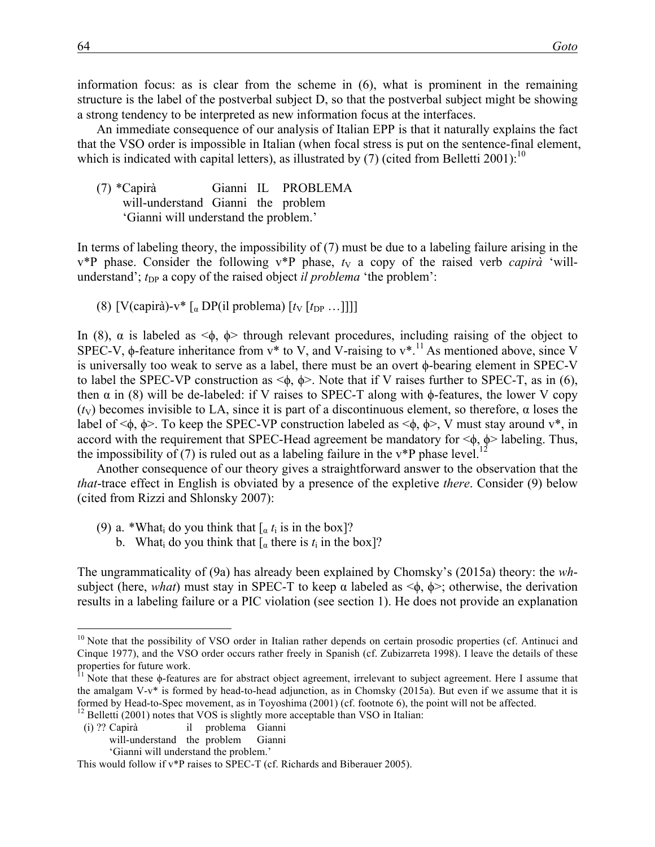information focus: as is clear from the scheme in (6), what is prominent in the remaining structure is the label of the postverbal subject D, so that the postverbal subject might be showing a strong tendency to be interpreted as new information focus at the interfaces.

An immediate consequence of our analysis of Italian EPP is that it naturally explains the fact that the VSO order is impossible in Italian (when focal stress is put on the sentence-final element, which is indicated with capital letters), as illustrated by  $(7)$  (cited from Belletti 2001):<sup>10</sup>

(7) \*Capirà Gianni IL PROBLEMA will-understand Gianni the problem 'Gianni will understand the problem.'

In terms of labeling theory, the impossibility of (7) must be due to a labeling failure arising in the  $v^*P$  phase. Consider the following  $v^*P$  phase,  $t<sub>V</sub>$  a copy of the raised verb *capirà* 'willunderstand';  $t_{\text{DP}}$  a copy of the raised object *il problema* 'the problem':

(8)  $[V(capirà)-v * [a] DP(i] problema) [t_V[t_{DP}...]]]$ 

In (8),  $\alpha$  is labeled as  $\leq \phi$ ,  $\phi$  through relevant procedures, including raising of the object to SPEC-V,  $\phi$ -feature inheritance from  $v^*$  to V, and V-raising to  $v^*$ .<sup>11</sup> As mentioned above, since V is universally too weak to serve as a label, there must be an overt ϕ-bearing element in SPEC-V to label the SPEC-VP construction as  $\leq \phi$ ,  $\phi$ . Note that if V raises further to SPEC-T, as in (6), then  $\alpha$  in (8) will be de-labeled: if V raises to SPEC-T along with  $\phi$ -features, the lower V copy ( $t_V$ ) becomes invisible to LA, since it is part of a discontinuous element, so therefore,  $\alpha$  loses the label of  $\leq \phi$ ,  $\phi$ . To keep the SPEC-VP construction labeled as  $\leq \phi$ ,  $\phi$ . V must stay around v<sup>\*</sup>, in accord with the requirement that SPEC-Head agreement be mandatory for  $\langle \phi, \phi \rangle$  labeling. Thus, the impossibility of (7) is ruled out as a labeling failure in the  $v^*P$  phase level.<sup>1</sup>

Another consequence of our theory gives a straightforward answer to the observation that the *that*-trace effect in English is obviated by a presence of the expletive *there*. Consider (9) below (cited from Rizzi and Shlonsky 2007):

- (9) a. \*What<sub>i</sub> do you think that  $\int_{\alpha} t_i$  is in the box]?
	- b. What  $\alpha$  do you think that  $\alpha$  there is  $t_i$  in the box]?

The ungrammaticality of (9a) has already been explained by Chomsky's (2015a) theory: the *wh*subject (here, *what*) must stay in SPEC-T to keep  $\alpha$  labeled as  $\langle \phi, \phi \rangle$ ; otherwise, the derivation results in a labeling failure or a PIC violation (see section 1). He does not provide an explanation

- 
- (i) ?? Capirà il problema Gianni will-understand the problem Gianni

'Gianni will understand the problem.'

<sup>&</sup>lt;sup>10</sup> Note that the possibility of VSO order in Italian rather depends on certain prosodic properties (cf. Antinuci and Cinque 1977), and the VSO order occurs rather freely in Spanish (cf. Zubizarreta 1998). I leave the details of these properties for future work.

 $11$  Note that these  $\phi$ -features are for abstract object agreement, irrelevant to subject agreement. Here I assume that the amalgam V-v\* is formed by head-to-head adjunction, as in Chomsky (2015a). But even if we assume that it is formed by Head-to-Spec movement, as in Toyoshima (2001) (cf. footnote 6), the point will not be affected. <sup>12</sup> Belletti (2001) notes that VOS is slightly more acceptable than VSO in Italian:

This would follow if v\*P raises to SPEC-T (cf. Richards and Biberauer 2005).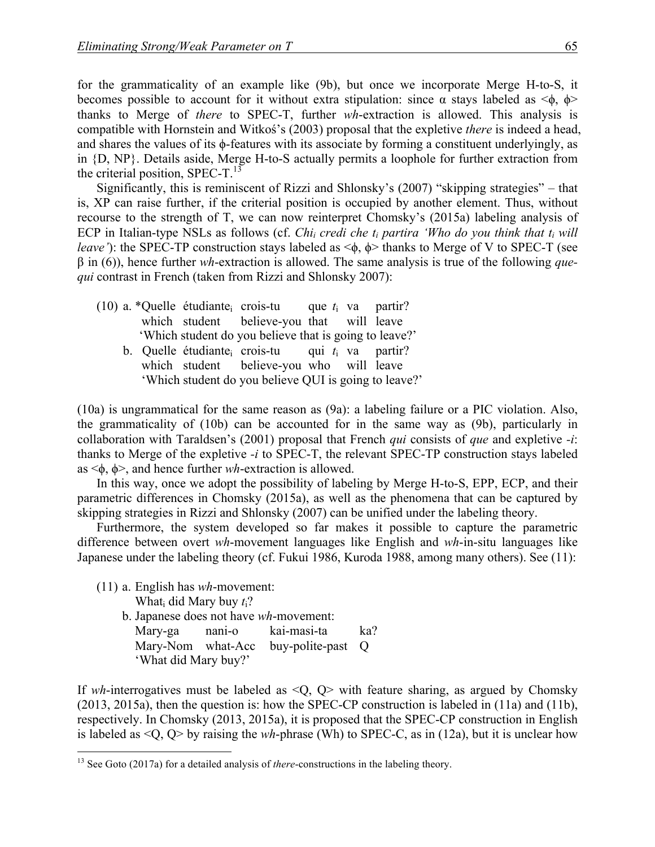for the grammaticality of an example like (9b), but once we incorporate Merge H-to-S, it becomes possible to account for it without extra stipulation: since  $\alpha$  stays labeled as  $\leq \phi$ ,  $\phi$ thanks to Merge of *there* to SPEC-T, further *wh*-extraction is allowed. This analysis is compatible with Hornstein and Witkoś's (2003) proposal that the expletive *there* is indeed a head, and shares the values of its ϕ-features with its associate by forming a constituent underlyingly, as in {D, NP}. Details aside, Merge H-to-S actually permits a loophole for further extraction from the criterial position, SPEC-T. $^{13}$ 

Significantly, this is reminiscent of Rizzi and Shlonsky's (2007) "skipping strategies" – that is, XP can raise further, if the criterial position is occupied by another element. Thus, without recourse to the strength of T, we can now reinterpret Chomsky's (2015a) labeling analysis of ECP in Italian-type NSLs as follows (cf. *Chi<sub>i</sub> credi che t<sub>i</sub> partira 'Who do you think that t<sub>i</sub> will leave*'): the SPEC-TP construction stays labeled as  $\leq$ φ, φ thanks to Merge of V to SPEC-T (see β in (6)), hence further *wh*-extraction is allowed. The same analysis is true of the following *quequi* contrast in French (taken from Rizzi and Shlonsky 2007):

- (10) a. \*Quelle étudiantei crois-tu que *t*<sup>i</sup> va partir? which student believe-you that will leave 'Which student do you believe that is going to leave?'
	- b. Quelle étudiantei crois-tu qui *t*<sup>i</sup> va partir? which student believe-you who will leave 'Which student do you believe QUI is going to leave?'

(10a) is ungrammatical for the same reason as (9a): a labeling failure or a PIC violation. Also, the grammaticality of (10b) can be accounted for in the same way as (9b), particularly in collaboration with Taraldsen's (2001) proposal that French *qui* consists of *que* and expletive *-i*: thanks to Merge of the expletive *-i* to SPEC-T, the relevant SPEC-TP construction stays labeled as <ϕ, ϕ>, and hence further *wh*-extraction is allowed.

In this way, once we adopt the possibility of labeling by Merge H-to-S, EPP, ECP, and their parametric differences in Chomsky (2015a), as well as the phenomena that can be captured by skipping strategies in Rizzi and Shlonsky (2007) can be unified under the labeling theory.

Furthermore, the system developed so far makes it possible to capture the parametric difference between overt *wh*-movement languages like English and *wh*-in-situ languages like Japanese under the labeling theory (cf. Fukui 1986, Kuroda 1988, among many others). See (11):

- (11) a. English has *wh*-movement:
	- Whati did Mary buy *t*i?
	- b. Japanese does not have *wh*-movement: Mary-ga nani-o kai-masi-ta ka? Mary-Nom what-Acc buy-polite-past Q 'What did Mary buy?'

If *wh*-interrogatives must be labeled as  $\langle Q, Q \rangle$  with feature sharing, as argued by Chomsky (2013, 2015a), then the question is: how the SPEC-CP construction is labeled in (11a) and (11b), respectively. In Chomsky (2013, 2015a), it is proposed that the SPEC-CP construction in English is labeled as <Q, Q> by raising the *wh*-phrase (Wh) to SPEC-C, as in (12a), but it is unclear how

<sup>&</sup>lt;sup>13</sup> See Goto (2017a) for a detailed analysis of *there*-constructions in the labeling theory.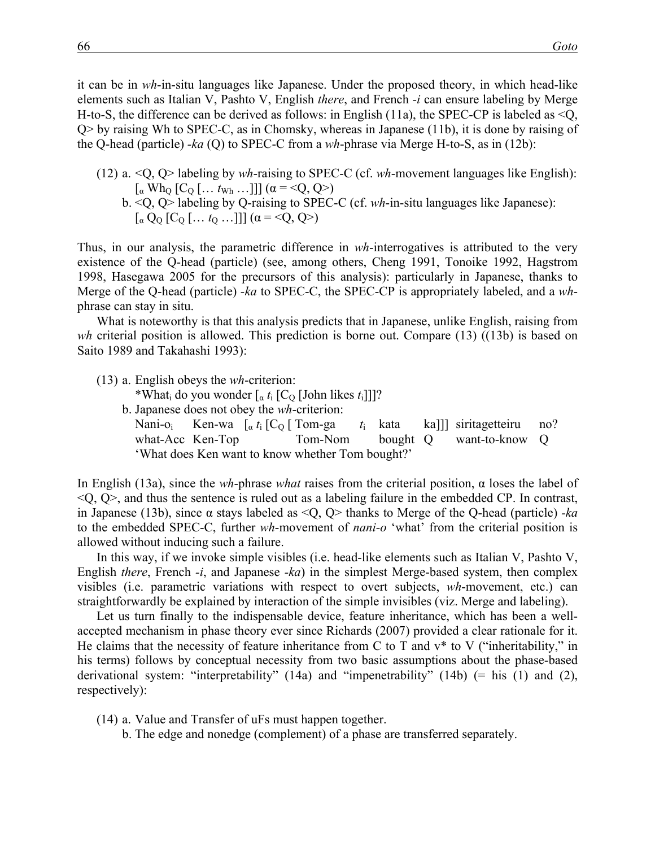it can be in *wh*-in-situ languages like Japanese. Under the proposed theory, in which head-like elements such as Italian V, Pashto V, English *there*, and French *-i* can ensure labeling by Merge H-to-S, the difference can be derived as follows: in English (11a), the SPEC-CP is labeled as  $\leq Q$ , Q> by raising Wh to SPEC-C, as in Chomsky, whereas in Japanese (11b), it is done by raising of the Q-head (particle) *-ka* (Q) to SPEC-C from a *wh*-phrase via Merge H-to-S, as in (12b):

- (12) a. <Q, Q> labeling by *wh*-raising to SPEC-C (cf. *wh*-movement languages like English):  $\lceil \alpha \text{ Wh}_Q \rceil$  [C<sub>Q</sub>  $\lceil \dots t_{Wh} \dots \rceil$ ]  $(\alpha = \leq Q, Q >)$ 
	- b. <Q, Q> labeling by Q-raising to SPEC-C (cf. *wh*-in-situ languages like Japanese):  $\lceil \alpha \, Q_0 \, [C_0 \, [\ldots \, t_0 \, \ldots]] \, ] \, (\alpha = \langle Q, Q \rangle)$

Thus, in our analysis, the parametric difference in *wh*-interrogatives is attributed to the very existence of the Q-head (particle) (see, among others, Cheng 1991, Tonoike 1992, Hagstrom 1998, Hasegawa 2005 for the precursors of this analysis): particularly in Japanese, thanks to Merge of the Q-head (particle) *-ka* to SPEC-C, the SPEC-CP is appropriately labeled, and a *wh*phrase can stay in situ.

What is noteworthy is that this analysis predicts that in Japanese, unlike English, raising from *wh* criterial position is allowed. This prediction is borne out. Compare (13) ((13b) is based on Saito 1989 and Takahashi 1993):

- (13) a. English obeys the *wh*-criterion:
	- \*What<sub>i</sub> do you wonder  $\left[\begin{array}{cc} a & t_i \end{array}\right]$  [C<sub>O</sub> [John likes  $t_i$ ]]]?
	- b. Japanese does not obey the *wh*-criterion: Nani-o<sub>i</sub> Ken-wa  $\lceil \alpha t_i \rceil$  C<sub>O</sub> [ Tom-ga  $t_i$  kata ka]]] siritagetteiru no? what-Acc Ken-Top Tom-Nom bought Q want-to-know Q 'What does Ken want to know whether Tom bought?'

In English (13a), since the *wh*-phrase *what* raises from the criterial position, α loses the label of  $\langle Q, Q \rangle$ , and thus the sentence is ruled out as a labeling failure in the embedded CP. In contrast, in Japanese (13b), since α stays labeled as <Q, Q> thanks to Merge of the Q-head (particle) *-ka* to the embedded SPEC-C, further *wh*-movement of *nani-o* 'what' from the criterial position is allowed without inducing such a failure.

In this way, if we invoke simple visibles (i.e. head-like elements such as Italian V, Pashto V, English *there*, French *-i*, and Japanese *-ka*) in the simplest Merge-based system, then complex visibles (i.e. parametric variations with respect to overt subjects, *wh*-movement, etc.) can straightforwardly be explained by interaction of the simple invisibles (viz. Merge and labeling).

Let us turn finally to the indispensable device, feature inheritance, which has been a wellaccepted mechanism in phase theory ever since Richards (2007) provided a clear rationale for it. He claims that the necessity of feature inheritance from C to T and  $v^*$  to V ("inheritability," in his terms) follows by conceptual necessity from two basic assumptions about the phase-based derivational system: "interpretability" (14a) and "impenetrability" (14b) (= his (1) and (2), respectively):

- (14) a. Value and Transfer of uFs must happen together.
	- b. The edge and nonedge (complement) of a phase are transferred separately.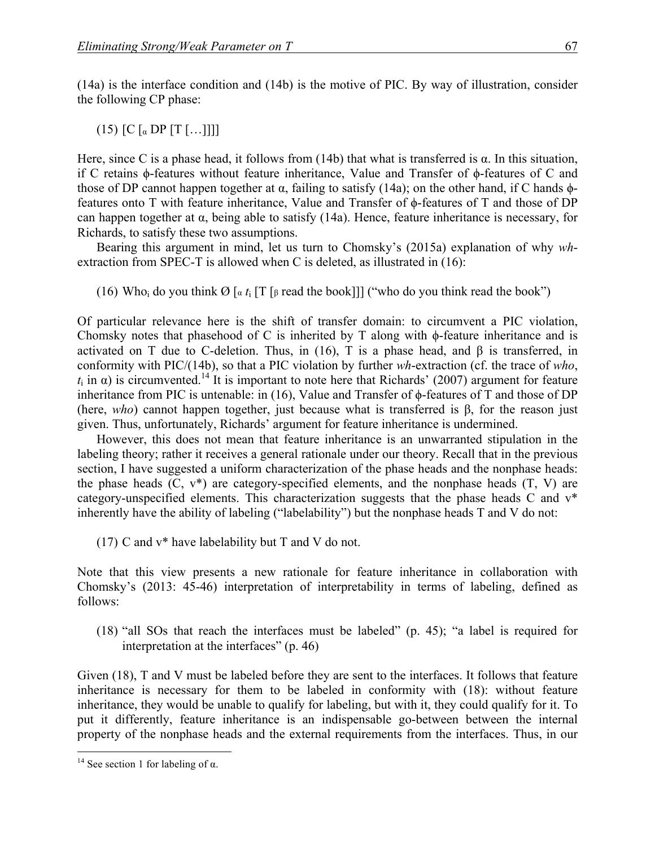(14a) is the interface condition and (14b) is the motive of PIC. By way of illustration, consider the following CP phase:

(15)  $[C \, [a \, DP \, [T \, [...]]]$ 

Here, since C is a phase head, it follows from (14b) that what is transferred is  $\alpha$ . In this situation, if C retains ϕ-features without feature inheritance, Value and Transfer of ϕ-features of C and those of DP cannot happen together at α, failing to satisfy (14a); on the other hand, if C hands  $φ$ features onto T with feature inheritance, Value and Transfer of ϕ-features of T and those of DP can happen together at α, being able to satisfy (14a). Hence, feature inheritance is necessary, for Richards, to satisfy these two assumptions.

Bearing this argument in mind, let us turn to Chomsky's (2015a) explanation of why *wh*extraction from SPEC-T is allowed when C is deleted, as illustrated in (16):

(16) Who<sub>i</sub> do you think  $\emptyset$  [ $\alpha$  *t*<sub>i</sub> [T [ $\beta$  read the book]]] ("who do you think read the book")

Of particular relevance here is the shift of transfer domain: to circumvent a PIC violation, Chomsky notes that phasehood of C is inherited by T along with ϕ-feature inheritance and is activated on T due to C-deletion. Thus, in (16), T is a phase head, and  $\beta$  is transferred, in conformity with PIC/(14b), so that a PIC violation by further *wh*-extraction (cf. the trace of *who*,  $t_i$  in  $\alpha$ ) is circumvented.<sup>14</sup> It is important to note here that Richards' (2007) argument for feature inheritance from PIC is untenable: in (16), Value and Transfer of ϕ-features of T and those of DP (here, *who*) cannot happen together, just because what is transferred is β, for the reason just given. Thus, unfortunately, Richards' argument for feature inheritance is undermined.

However, this does not mean that feature inheritance is an unwarranted stipulation in the labeling theory; rather it receives a general rationale under our theory. Recall that in the previous section, I have suggested a uniform characterization of the phase heads and the nonphase heads: the phase heads  $(C, v^*)$  are category-specified elements, and the nonphase heads  $(T, V)$  are category-unspecified elements. This characterization suggests that the phase heads C and v\* inherently have the ability of labeling ("labelability") but the nonphase heads T and V do not:

(17) C and v\* have labelability but T and V do not.

Note that this view presents a new rationale for feature inheritance in collaboration with Chomsky's (2013: 45-46) interpretation of interpretability in terms of labeling, defined as follows:

(18) "all SOs that reach the interfaces must be labeled" (p. 45); "a label is required for interpretation at the interfaces" (p. 46)

Given (18), T and V must be labeled before they are sent to the interfaces. It follows that feature inheritance is necessary for them to be labeled in conformity with (18): without feature inheritance, they would be unable to qualify for labeling, but with it, they could qualify for it. To put it differently, feature inheritance is an indispensable go-between between the internal property of the nonphase heads and the external requirements from the interfaces. Thus, in our

<sup>&</sup>lt;sup>14</sup> See section 1 for labeling of  $\alpha$ .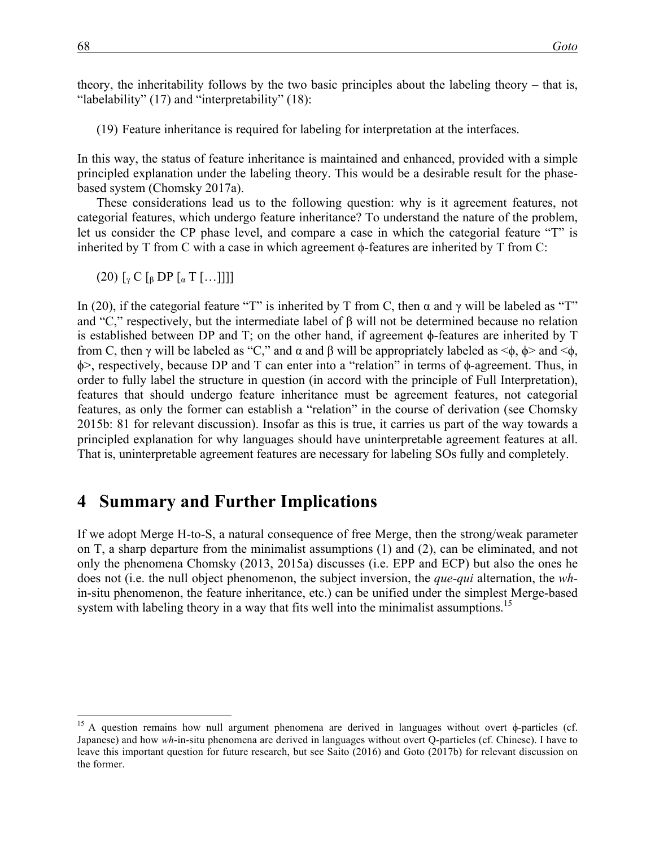theory, the inheritability follows by the two basic principles about the labeling theory – that is, "labelability"  $(17)$  and "interpretability"  $(18)$ :

(19) Feature inheritance is required for labeling for interpretation at the interfaces.

In this way, the status of feature inheritance is maintained and enhanced, provided with a simple principled explanation under the labeling theory. This would be a desirable result for the phasebased system (Chomsky 2017a).

These considerations lead us to the following question: why is it agreement features, not categorial features, which undergo feature inheritance? To understand the nature of the problem, let us consider the CP phase level, and compare a case in which the categorial feature "T" is inherited by T from C with a case in which agreement  $\phi$ -features are inherited by T from C:

 $(20)$   $\lceil_{\gamma}$  C  $\lceil_{\beta}$  DP  $\lceil_{\alpha}$  T  $\lceil$  ... ]]]]

In (20), if the categorial feature "T" is inherited by T from C, then α and γ will be labeled as "T" and "C," respectively, but the intermediate label of  $\beta$  will not be determined because no relation is established between DP and T; on the other hand, if agreement ϕ-features are inherited by T from C, then γ will be labeled as "C," and α and β will be appropriately labeled as <ϕ, ϕ> and <ϕ, ϕ>, respectively, because DP and T can enter into a "relation" in terms of ϕ-agreement. Thus, in order to fully label the structure in question (in accord with the principle of Full Interpretation), features that should undergo feature inheritance must be agreement features, not categorial features, as only the former can establish a "relation" in the course of derivation (see Chomsky 2015b: 81 for relevant discussion). Insofar as this is true, it carries us part of the way towards a principled explanation for why languages should have uninterpretable agreement features at all. That is, uninterpretable agreement features are necessary for labeling SOs fully and completely.

#### **4** Summary and Further Implications

If we adopt Merge H-to-S, a natural consequence of free Merge, then the strong/weak parameter on T, a sharp departure from the minimalist assumptions (1) and (2), can be eliminated, and not only the phenomena Chomsky (2013, 2015a) discusses (i.e. EPP and ECP) but also the ones he does not (i.e. the null object phenomenon, the subject inversion, the *que*-*qui* alternation, the *wh*in-situ phenomenon, the feature inheritance, etc.) can be unified under the simplest Merge-based system with labeling theory in a way that fits well into the minimalist assumptions.<sup>15</sup>

<sup>&</sup>lt;sup>15</sup> A question remains how null argument phenomena are derived in languages without overt  $\phi$ -particles (cf. Japanese) and how *wh*-in-situ phenomena are derived in languages without overt Q-particles (cf. Chinese). I have to leave this important question for future research, but see Saito (2016) and Goto (2017b) for relevant discussion on the former.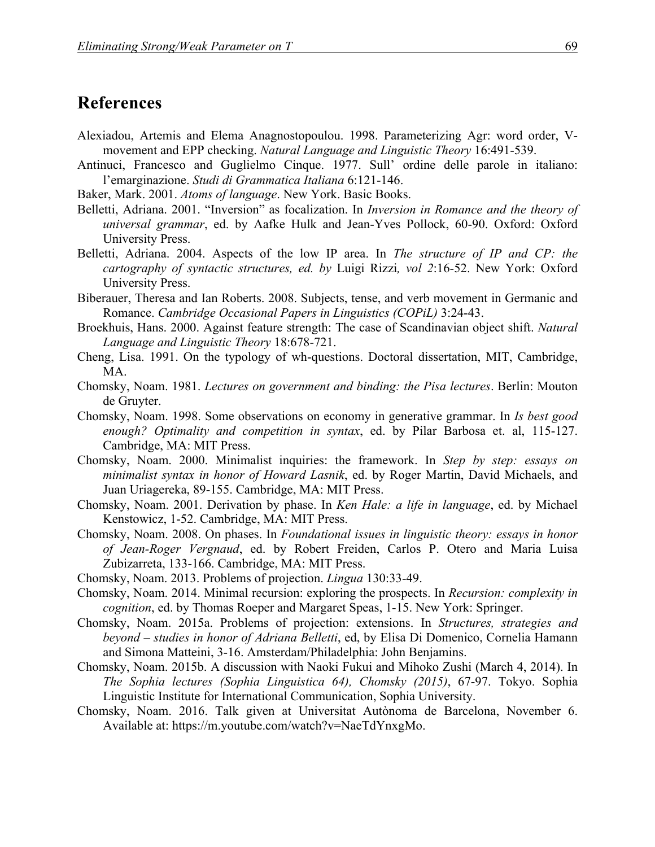### **References**

- Alexiadou, Artemis and Elema Anagnostopoulou. 1998. Parameterizing Agr: word order, Vmovement and EPP checking. *Natural Language and Linguistic Theory* 16:491-539.
- Antinuci, Francesco and Guglielmo Cinque. 1977. Sull' ordine delle parole in italiano: l'emarginazione. *Studi di Grammatica Italiana* 6:121-146.
- Baker, Mark. 2001. *Atoms of language*. New York. Basic Books.
- Belletti, Adriana. 2001. "Inversion" as focalization. In *Inversion in Romance and the theory of universal grammar*, ed. by Aafke Hulk and Jean-Yves Pollock, 60-90. Oxford: Oxford University Press.
- Belletti, Adriana. 2004. Aspects of the low IP area. In *The structure of IP and CP: the cartography of syntactic structures, ed. by* Luigi Rizzi*, vol 2*:16-52. New York: Oxford University Press.
- Biberauer, Theresa and Ian Roberts. 2008. Subjects, tense, and verb movement in Germanic and Romance. *Cambridge Occasional Papers in Linguistics (COPiL)* 3:24-43.
- Broekhuis, Hans. 2000. Against feature strength: The case of Scandinavian object shift. *Natural Language and Linguistic Theory* 18:678-721.
- Cheng, Lisa. 1991. On the typology of wh-questions. Doctoral dissertation, MIT, Cambridge, MA.
- Chomsky, Noam. 1981. *Lectures on government and binding: the Pisa lectures*. Berlin: Mouton de Gruyter.
- Chomsky, Noam. 1998. Some observations on economy in generative grammar. In *Is best good enough? Optimality and competition in syntax*, ed. by Pilar Barbosa et. al, 115-127. Cambridge, MA: MIT Press.
- Chomsky, Noam. 2000. Minimalist inquiries: the framework. In *Step by step: essays on minimalist syntax in honor of Howard Lasnik*, ed. by Roger Martin, David Michaels, and Juan Uriagereka, 89-155. Cambridge, MA: MIT Press.
- Chomsky, Noam. 2001. Derivation by phase. In *Ken Hale: a life in language*, ed. by Michael Kenstowicz, 1-52. Cambridge, MA: MIT Press.
- Chomsky, Noam. 2008. On phases. In *Foundational issues in linguistic theory: essays in honor of Jean-Roger Vergnaud*, ed. by Robert Freiden, Carlos P. Otero and Maria Luisa Zubizarreta, 133-166. Cambridge, MA: MIT Press.
- Chomsky, Noam. 2013. Problems of projection. *Lingua* 130:33-49.
- Chomsky, Noam. 2014. Minimal recursion: exploring the prospects. In *Recursion: complexity in cognition*, ed. by Thomas Roeper and Margaret Speas, 1-15. New York: Springer.
- Chomsky, Noam. 2015a. Problems of projection: extensions. In *Structures, strategies and beyond – studies in honor of Adriana Belletti*, ed, by Elisa Di Domenico, Cornelia Hamann and Simona Matteini, 3-16. Amsterdam/Philadelphia: John Benjamins.
- Chomsky, Noam. 2015b. A discussion with Naoki Fukui and Mihoko Zushi (March 4, 2014). In *The Sophia lectures (Sophia Linguistica 64), Chomsky (2015)*, 67-97. Tokyo. Sophia Linguistic Institute for International Communication, Sophia University.
- Chomsky, Noam. 2016. Talk given at Universitat Autònoma de Barcelona, November 6. Available at: https://m.youtube.com/watch?v=NaeTdYnxgMo.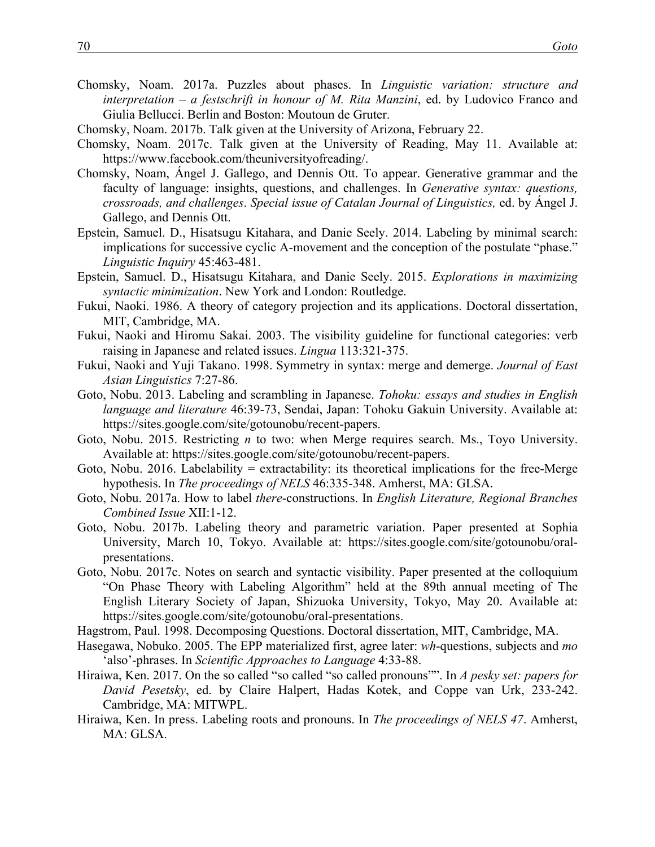- Chomsky, Noam. 2017a. Puzzles about phases. In *Linguistic variation: structure and interpretation – a festschrift in honour of M. Rita Manzini*, ed. by Ludovico Franco and Giulia Bellucci. Berlin and Boston: Moutoun de Gruter.
- Chomsky, Noam. 2017b. Talk given at the University of Arizona, February 22.
- Chomsky, Noam. 2017c. Talk given at the University of Reading, May 11. Available at: https://www.facebook.com/theuniversityofreading/.
- Chomsky, Noam, Ángel J. Gallego, and Dennis Ott. To appear. Generative grammar and the faculty of language: insights, questions, and challenges. In *Generative syntax: questions, crossroads, and challenges*. *Special issue of Catalan Journal of Linguistics,* ed. by Ángel J. Gallego, and Dennis Ott.
- Epstein, Samuel. D., Hisatsugu Kitahara, and Danie Seely. 2014. Labeling by minimal search: implications for successive cyclic A-movement and the conception of the postulate "phase." *Linguistic Inquiry* 45:463-481.
- Epstein, Samuel. D., Hisatsugu Kitahara, and Danie Seely. 2015. *Explorations in maximizing syntactic minimization*. New York and London: Routledge.
- Fukui, Naoki. 1986. A theory of category projection and its applications. Doctoral dissertation, MIT, Cambridge, MA.
- Fukui, Naoki and Hiromu Sakai. 2003. The visibility guideline for functional categories: verb raising in Japanese and related issues. *Lingua* 113:321-375.
- Fukui, Naoki and Yuji Takano. 1998. Symmetry in syntax: merge and demerge. *Journal of East Asian Linguistics* 7:27-86.
- Goto, Nobu. 2013. Labeling and scrambling in Japanese. *Tohoku: essays and studies in English language and literature* 46:39-73, Sendai, Japan: Tohoku Gakuin University. Available at: https://sites.google.com/site/gotounobu/recent-papers.
- Goto, Nobu. 2015. Restricting *n* to two: when Merge requires search. Ms., Toyo University. Available at: https://sites.google.com/site/gotounobu/recent-papers.
- Goto, Nobu. 2016. Labelability = extractability: its theoretical implications for the free-Merge hypothesis. In *The proceedings of NELS* 46:335-348. Amherst, MA: GLSA.
- Goto, Nobu. 2017a. How to label *there*-constructions. In *English Literature, Regional Branches Combined Issue* XII:1-12.
- Goto, Nobu. 2017b. Labeling theory and parametric variation. Paper presented at Sophia University, March 10, Tokyo. Available at: https://sites.google.com/site/gotounobu/oralpresentations.
- Goto, Nobu. 2017c. Notes on search and syntactic visibility. Paper presented at the colloquium "On Phase Theory with Labeling Algorithm" held at the 89th annual meeting of The English Literary Society of Japan, Shizuoka University, Tokyo, May 20. Available at: https://sites.google.com/site/gotounobu/oral-presentations.
- Hagstrom, Paul. 1998. Decomposing Questions. Doctoral dissertation, MIT, Cambridge, MA.
- Hasegawa, Nobuko. 2005. The EPP materialized first, agree later: *wh*-questions, subjects and *mo* 'also'-phrases. In *Scientific Approaches to Language* 4:33-88.
- Hiraiwa, Ken. 2017. On the so called "so called "so called pronouns"". In *A pesky set: papers for David Pesetsky*, ed. by Claire Halpert, Hadas Kotek, and Coppe van Urk, 233-242. Cambridge, MA: MITWPL.
- Hiraiwa, Ken. In press. Labeling roots and pronouns. In *The proceedings of NELS 47*. Amherst, MA: GLSA.